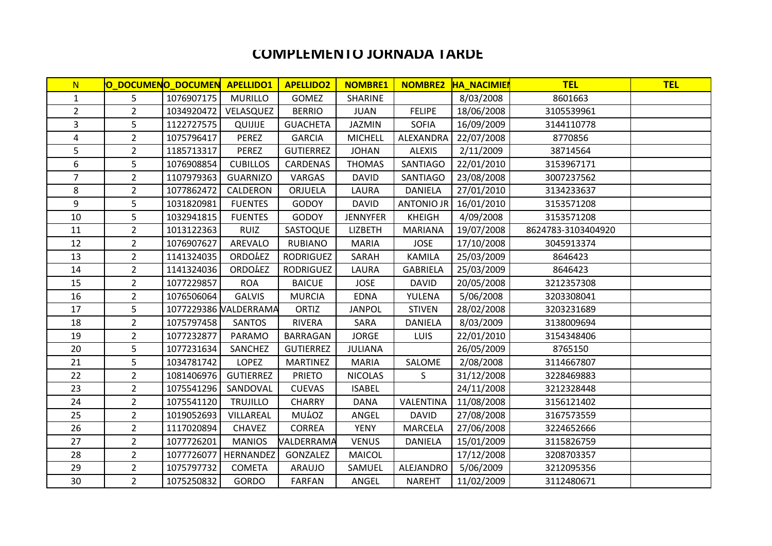## **COMPLEMENTO JORNADA TARDE**

| N.             |                | O DOCUMENO DOCUMEN APELLIDO1 |                       | <b>APELLIDO2</b> | <b>NOMBRE1</b>  |                   | NOMBRE2 HA_NACIMIEN | <b>TEL</b>         | <b>TEL</b> |
|----------------|----------------|------------------------------|-----------------------|------------------|-----------------|-------------------|---------------------|--------------------|------------|
| $\mathbf{1}$   | 5              | 1076907175                   | <b>MURILLO</b>        | <b>GOMEZ</b>     | SHARINE         |                   | 8/03/2008           | 8601663            |            |
| $\overline{2}$ | $\overline{2}$ | 1034920472                   | VELASQUEZ             | <b>BERRIO</b>    | <b>JUAN</b>     | <b>FELIPE</b>     | 18/06/2008          | 3105539961         |            |
| 3              | 5              | 1122727575                   | QUIJIJE               | <b>GUACHETA</b>  | <b>JAZMIN</b>   | <b>SOFIA</b>      | 16/09/2009          | 3144110778         |            |
| 4              | $\overline{2}$ | 1075796417                   | <b>PEREZ</b>          | <b>GARCIA</b>    | <b>MICHELL</b>  | ALEXANDRA         | 22/07/2008          | 8770856            |            |
| 5              | $\overline{2}$ | 1185713317                   | <b>PEREZ</b>          | <b>GUTIERREZ</b> | <b>JOHAN</b>    | <b>ALEXIS</b>     | 2/11/2009           | 38714564           |            |
| 6              | 5              | 1076908854                   | <b>CUBILLOS</b>       | CARDENAS         | <b>THOMAS</b>   | SANTIAGO          | 22/01/2010          | 3153967171         |            |
| $\overline{7}$ | $\overline{2}$ | 1107979363                   | <b>GUARNIZO</b>       | VARGAS           | <b>DAVID</b>    | SANTIAGO          | 23/08/2008          | 3007237562         |            |
| 8              | $\overline{2}$ | 1077862472                   | CALDERON              | ORJUELA          | LAURA           | <b>DANIELA</b>    | 27/01/2010          | 3134233637         |            |
| 9              | 5              | 1031820981                   | <b>FUENTES</b>        | <b>GODOY</b>     | <b>DAVID</b>    | <b>ANTONIO JR</b> | 16/01/2010          | 3153571208         |            |
| 10             | 5              | 1032941815                   | <b>FUENTES</b>        | GODOY            | <b>JENNYFER</b> | <b>KHEIGH</b>     | 4/09/2008           | 3153571208         |            |
| 11             | $\overline{2}$ | 1013122363                   | <b>RUIZ</b>           | SASTOQUE         | <b>LIZBETH</b>  | <b>MARIANA</b>    | 19/07/2008          | 8624783-3103404920 |            |
| 12             | $\overline{2}$ | 1076907627                   | AREVALO               | <b>RUBIANO</b>   | <b>MARIA</b>    | <b>JOSE</b>       | 17/10/2008          | 3045913374         |            |
| 13             | $\overline{2}$ | 1141324035                   | <b>ORDOAEZ</b>        | <b>RODRIGUEZ</b> | SARAH           | <b>KAMILA</b>     | 25/03/2009          | 8646423            |            |
| 14             | $\overline{2}$ | 1141324036                   | <b>ORDOAEZ</b>        | <b>RODRIGUEZ</b> | LAURA           | <b>GABRIELA</b>   | 25/03/2009          | 8646423            |            |
| 15             | $\overline{2}$ | 1077229857                   | <b>ROA</b>            | <b>BAICUE</b>    | <b>JOSE</b>     | <b>DAVID</b>      | 20/05/2008          | 3212357308         |            |
| 16             | $\overline{2}$ | 1076506064                   | <b>GALVIS</b>         | <b>MURCIA</b>    | <b>EDNA</b>     | YULENA            | 5/06/2008           | 3203308041         |            |
| 17             | 5              |                              | 1077229386 NALDERRAMA | ORTIZ            | <b>JANPOL</b>   | <b>STIVEN</b>     | 28/02/2008          | 3203231689         |            |
| 18             | $\overline{2}$ | 1075797458                   | <b>SANTOS</b>         | <b>RIVERA</b>    | SARA            | <b>DANIELA</b>    | 8/03/2009           | 3138009694         |            |
| 19             | $\overline{2}$ | 1077232877                   | PARAMO                | BARRAGAN         | <b>JORGE</b>    | <b>LUIS</b>       | 22/01/2010          | 3154348406         |            |
| 20             | 5              | 1077231634                   | SANCHEZ               | <b>GUTIERREZ</b> | <b>JULIANA</b>  |                   | 26/05/2009          | 8765150            |            |
| 21             | 5              | 1034781742                   | LOPEZ                 | <b>MARTINEZ</b>  | <b>MARIA</b>    | SALOME            | 2/08/2008           | 3114667807         |            |
| 22             | $2^{\circ}$    | 1081406976                   | <b>GUTIERREZ</b>      | <b>PRIETO</b>    | <b>NICOLAS</b>  | S                 | 31/12/2008          | 3228469883         |            |
| 23             | $\overline{2}$ | 1075541296                   | SANDOVAL              | <b>CUEVAS</b>    | <b>ISABEL</b>   |                   | 24/11/2008          | 3212328448         |            |
| 24             | $\overline{2}$ | 1075541120                   | <b>TRUJILLO</b>       | <b>CHARRY</b>    | <b>DANA</b>     | VALENTINA         | 11/08/2008          | 3156121402         |            |
| 25             | $2^{\circ}$    | 1019052693                   | VILLAREAL             | MU40Z            | ANGEL           | <b>DAVID</b>      | 27/08/2008          | 3167573559         |            |
| 26             | $\overline{2}$ | 1117020894                   | <b>CHAVEZ</b>         | <b>CORREA</b>    | <b>YENY</b>     | <b>MARCELA</b>    | 27/06/2008          | 3224652666         |            |
| 27             | $\overline{2}$ | 1077726201                   | <b>MANIOS</b>         | VALDERRAMA       | <b>VENUS</b>    | <b>DANIELA</b>    | 15/01/2009          | 3115826759         |            |
| 28             | $\overline{2}$ | 1077726077                   | <b>HERNANDEZ</b>      | GONZALEZ         | MAICOL          |                   | 17/12/2008          | 3208703357         |            |
| 29             | $\overline{2}$ | 1075797732                   | <b>COMETA</b>         | ARAUJO           | SAMUEL          | ALEJANDRO         | 5/06/2009           | 3212095356         |            |
| 30             | $2^{\circ}$    | 1075250832                   | <b>GORDO</b>          | <b>FARFAN</b>    | ANGEL           | <b>NAREHT</b>     | 11/02/2009          | 3112480671         |            |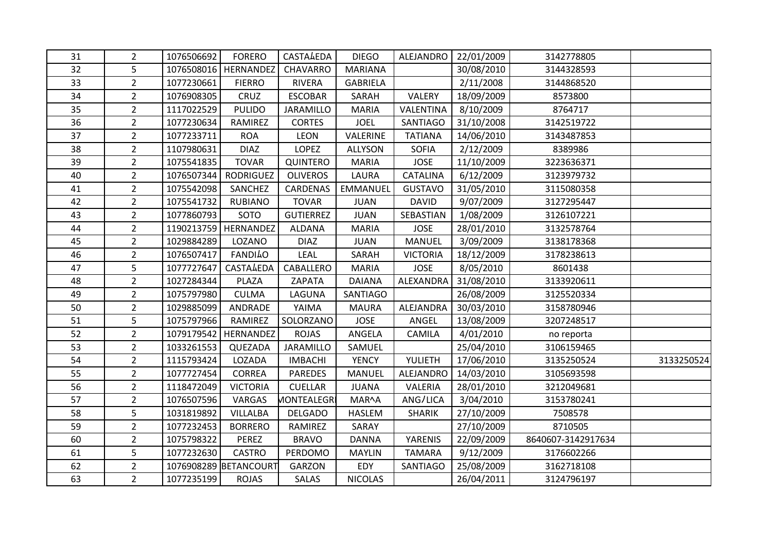| 31 | $\overline{2}$ | 1076506692 | <b>FORERO</b>          | <b>CASTA4EDA</b>  | <b>DIEGO</b>    | ALEJANDRO       | 22/01/2009 | 3142778805         |            |
|----|----------------|------------|------------------------|-------------------|-----------------|-----------------|------------|--------------------|------------|
| 32 | 5              |            | 1076508016   HERNANDEZ | CHAVARRO          | <b>MARIANA</b>  |                 | 30/08/2010 | 3144328593         |            |
| 33 | $\overline{2}$ | 1077230661 | <b>FIERRO</b>          | <b>RIVERA</b>     | <b>GABRIELA</b> |                 | 2/11/2008  | 3144868520         |            |
| 34 | $\overline{2}$ | 1076908305 | CRUZ                   | <b>ESCOBAR</b>    | SARAH           | VALERY          | 18/09/2009 | 8573800            |            |
| 35 | $\overline{2}$ | 1117022529 | <b>PULIDO</b>          | JARAMILLO         | <b>MARIA</b>    | VALENTINA       | 8/10/2009  | 8764717            |            |
| 36 | $\overline{2}$ | 1077230634 | RAMIREZ                | <b>CORTES</b>     | <b>JOEL</b>     | <b>SANTIAGO</b> | 31/10/2008 | 3142519722         |            |
| 37 | $\overline{2}$ | 1077233711 | <b>ROA</b>             | <b>LEON</b>       | VALERINE        | <b>TATIANA</b>  | 14/06/2010 | 3143487853         |            |
| 38 | $\overline{2}$ | 1107980631 | <b>DIAZ</b>            | <b>LOPEZ</b>      | <b>ALLYSON</b>  | <b>SOFIA</b>    | 2/12/2009  | 8389986            |            |
| 39 | 2 <sup>1</sup> | 1075541835 | <b>TOVAR</b>           | QUINTERO          | <b>MARIA</b>    | <b>JOSE</b>     | 11/10/2009 | 3223636371         |            |
| 40 | $\overline{2}$ | 1076507344 | <b>RODRIGUEZ</b>       | <b>OLIVEROS</b>   | LAURA           | CATALINA        | 6/12/2009  | 3123979732         |            |
| 41 | $\overline{2}$ | 1075542098 | SANCHEZ                | CARDENAS          | <b>EMMANUEL</b> | <b>GUSTAVO</b>  | 31/05/2010 | 3115080358         |            |
| 42 | $\overline{2}$ | 1075541732 | <b>RUBIANO</b>         | <b>TOVAR</b>      | <b>JUAN</b>     | <b>DAVID</b>    | 9/07/2009  | 3127295447         |            |
| 43 | $\overline{2}$ | 1077860793 | SOTO                   | <b>GUTIERREZ</b>  | <b>JUAN</b>     | SEBASTIAN       | 1/08/2009  | 3126107221         |            |
| 44 | $\overline{2}$ |            | 1190213759   HERNANDEZ | <b>ALDANA</b>     | <b>MARIA</b>    | <b>JOSE</b>     | 28/01/2010 | 3132578764         |            |
| 45 | $\overline{2}$ | 1029884289 | LOZANO                 | <b>DIAZ</b>       | <b>JUAN</b>     | <b>MANUEL</b>   | 3/09/2009  | 3138178368         |            |
| 46 | $\overline{2}$ | 1076507417 | <b>FANDILO</b>         | LEAL              | SARAH           | <b>VICTORIA</b> | 18/12/2009 | 3178238613         |            |
| 47 | 5              | 1077727647 | CASTALEDA              | CABALLERO         | <b>MARIA</b>    | <b>JOSE</b>     | 8/05/2010  | 8601438            |            |
| 48 | $\overline{2}$ | 1027284344 | PLAZA                  | ZAPATA            | <b>DAIANA</b>   | ALEXANDRA       | 31/08/2010 | 3133920611         |            |
| 49 | $\overline{2}$ | 1075797980 | <b>CULMA</b>           | LAGUNA            | SANTIAGO        |                 | 26/08/2009 | 3125520334         |            |
| 50 | $\overline{2}$ | 1029885099 | ANDRADE                | YAIMA             | <b>MAURA</b>    | ALEJANDRA       | 30/03/2010 | 3158780946         |            |
| 51 | 5              | 1075797966 | RAMIREZ                | SOLORZANO         | <b>JOSE</b>     | ANGEL           | 13/08/2009 | 3207248517         |            |
| 52 | $\overline{2}$ | 1079179542 | HERNANDEZ              | <b>ROJAS</b>      | ANGELA          | <b>CAMILA</b>   | 4/01/2010  | no reporta         |            |
| 53 | $\overline{2}$ | 1033261553 | QUEZADA                | JARAMILLO         | SAMUEL          |                 | 25/04/2010 | 3106159465         |            |
| 54 | $\overline{2}$ | 1115793424 | LOZADA                 | <b>IMBACHI</b>    | <b>YENCY</b>    | YULIETH         | 17/06/2010 | 3135250524         | 3133250524 |
| 55 | $\overline{2}$ | 1077727454 | <b>CORREA</b>          | <b>PAREDES</b>    | <b>MANUEL</b>   | ALEJANDRO       | 14/03/2010 | 3105693598         |            |
| 56 | $\overline{2}$ | 1118472049 | <b>VICTORIA</b>        | CUELLAR           | <b>JUANA</b>    | VALERIA         | 28/01/2010 | 3212049681         |            |
| 57 | $\overline{2}$ | 1076507596 | VARGAS                 | <b>MONTEALEGR</b> | MAR^A           | ANG/LICA        | 3/04/2010  | 3153780241         |            |
| 58 | 5              | 1031819892 | <b>VILLALBA</b>        | <b>DELGADO</b>    | <b>HASLEM</b>   | <b>SHARIK</b>   | 27/10/2009 | 7508578            |            |
| 59 | $\overline{2}$ | 1077232453 | <b>BORRERO</b>         | RAMIREZ           | SARAY           |                 | 27/10/2009 | 8710505            |            |
| 60 | $\overline{2}$ | 1075798322 | <b>PEREZ</b>           | <b>BRAVO</b>      | <b>DANNA</b>    | YARENIS         | 22/09/2009 | 8640607-3142917634 |            |
| 61 | 5              | 1077232630 | <b>CASTRO</b>          | PERDOMO           | <b>MAYLIN</b>   | <b>TAMARA</b>   | 9/12/2009  | 3176602266         |            |
| 62 | $\overline{2}$ |            | 1076908289 BETANCOURT  | <b>GARZON</b>     | EDY             | SANTIAGO        | 25/08/2009 | 3162718108         |            |
| 63 | $\overline{2}$ | 1077235199 | <b>ROJAS</b>           | SALAS             | <b>NICOLAS</b>  |                 | 26/04/2011 | 3124796197         |            |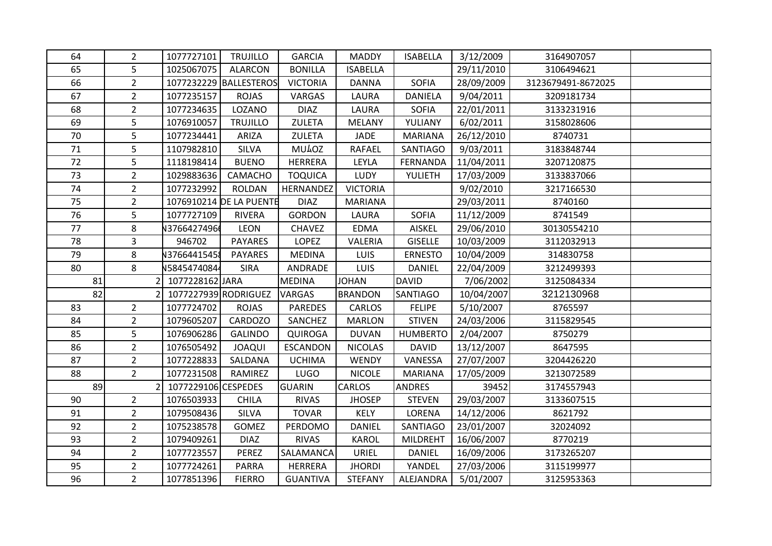| 64 | $\overline{2}$ | 1077727101           | <b>TRUJILLO</b>         | <b>GARCIA</b>   | <b>MADDY</b>    | <b>ISABELLA</b> | 3/12/2009  | 3164907057         |  |
|----|----------------|----------------------|-------------------------|-----------------|-----------------|-----------------|------------|--------------------|--|
| 65 | 5              | 1025067075           | <b>ALARCON</b>          | <b>BONILLA</b>  | <b>ISABELLA</b> |                 | 29/11/2010 | 3106494621         |  |
| 66 | $\overline{2}$ |                      | 1077232229 BALLESTEROS  | <b>VICTORIA</b> | <b>DANNA</b>    | <b>SOFIA</b>    | 28/09/2009 | 3123679491-8672025 |  |
| 67 | $2^{\circ}$    | 1077235157           | <b>ROJAS</b>            | VARGAS          | LAURA           | <b>DANIELA</b>  | 9/04/2011  | 3209181734         |  |
| 68 | $\overline{2}$ | 1077234635           | LOZANO                  | <b>DIAZ</b>     | LAURA           | <b>SOFIA</b>    | 22/01/2011 | 3133231916         |  |
| 69 | 5              | 1076910057           | <b>TRUJILLO</b>         | ZULETA          | <b>MELANY</b>   | YULIANY         | 6/02/2011  | 3158028606         |  |
| 70 | 5              | 1077234441           | ARIZA                   | <b>ZULETA</b>   | JADE            | <b>MARIANA</b>  | 26/12/2010 | 8740731            |  |
| 71 | 5              | 1107982810           | SILVA                   | <b>MU40Z</b>    | <b>RAFAEL</b>   | SANTIAGO        | 9/03/2011  | 3183848744         |  |
| 72 | 5              | 1118198414           | <b>BUENO</b>            | <b>HERRERA</b>  | LEYLA           | <b>FERNANDA</b> | 11/04/2011 | 3207120875         |  |
| 73 | $\overline{2}$ | 1029883636           | CAMACHO                 | <b>TOQUICA</b>  | <b>LUDY</b>     | YULIETH         | 17/03/2009 | 3133837066         |  |
| 74 | $\overline{2}$ | 1077232992           | <b>ROLDAN</b>           | HERNANDEZ       | <b>VICTORIA</b> |                 | 9/02/2010  | 3217166530         |  |
| 75 | $\overline{2}$ |                      | 1076910214 DE LA PUENTE | <b>DIAZ</b>     | <b>MARIANA</b>  |                 | 29/03/2011 | 8740160            |  |
| 76 | 5              | 1077727109           | <b>RIVERA</b>           | <b>GORDON</b>   | LAURA           | <b>SOFIA</b>    | 11/12/2009 | 8741549            |  |
| 77 | 8              | 137664274966         | <b>LEON</b>             | <b>CHAVEZ</b>   | <b>EDMA</b>     | AISKEL          | 29/06/2010 | 30130554210        |  |
| 78 | $\overline{3}$ | 946702               | <b>PAYARES</b>          | LOPEZ           | VALERIA         | <b>GISELLE</b>  | 10/03/2009 | 3112032913         |  |
| 79 | 8              | V37664415458         | <b>PAYARES</b>          | <b>MEDINA</b>   | <b>LUIS</b>     | <b>ERNESTO</b>  | 10/04/2009 | 314830758          |  |
| 80 | 8              | N5845474084          | <b>SIRA</b>             | ANDRADE         | LUIS            | <b>DANIEL</b>   | 22/04/2009 | 3212499393         |  |
| 81 |                | 2 1077228162 JARA    |                         | <b>MEDINA</b>   | <b>JOHAN</b>    | <b>DAVID</b>    | 7/06/2002  | 3125084334         |  |
| 82 |                | 1077227939 RODRIGUEZ |                         | VARGAS          | <b>BRANDON</b>  | <b>SANTIAGO</b> | 10/04/2007 | 3212130968         |  |
| 83 | $\overline{2}$ | 1077724702           | <b>ROJAS</b>            | <b>PAREDES</b>  | <b>CARLOS</b>   | <b>FELIPE</b>   | 5/10/2007  | 8765597            |  |
| 84 | $\overline{2}$ | 1079605207           | CARDOZO                 | SANCHEZ         | <b>MARLON</b>   | <b>STIVEN</b>   | 24/03/2006 | 3115829545         |  |
| 85 | 5              | 1076906286           | <b>GALINDO</b>          | <b>QUIROGA</b>  | <b>DUVAN</b>    | <b>HUMBERTO</b> | 2/04/2007  | 8750279            |  |
| 86 | $\overline{2}$ | 1076505492           | <b>JOAQUI</b>           | <b>ESCANDON</b> | <b>NICOLAS</b>  | <b>DAVID</b>    | 13/12/2007 | 8647595            |  |
| 87 | $\overline{2}$ | 1077228833           | SALDANA                 | <b>UCHIMA</b>   | <b>WENDY</b>    | VANESSA         | 27/07/2007 | 3204426220         |  |
| 88 | $2^{\circ}$    | 1077231508           | RAMIREZ                 | LUGO            | <b>NICOLE</b>   | <b>MARIANA</b>  | 17/05/2009 | 3213072589         |  |
| 89 | $\overline{2}$ | 1077229106 CESPEDES  |                         | <b>GUARIN</b>   | CARLOS          | <b>ANDRES</b>   | 39452      | 3174557943         |  |
| 90 | $\overline{2}$ | 1076503933           | <b>CHILA</b>            | <b>RIVAS</b>    | <b>JHOSEP</b>   | <b>STEVEN</b>   | 29/03/2007 | 3133607515         |  |
| 91 | $\overline{2}$ | 1079508436           | SILVA                   | <b>TOVAR</b>    | KELY            | LORENA          | 14/12/2006 | 8621792            |  |
| 92 | $2^{\circ}$    | 1075238578           | <b>GOMEZ</b>            | PERDOMO         | <b>DANIEL</b>   | <b>SANTIAGO</b> | 23/01/2007 | 32024092           |  |
| 93 | $2^{\circ}$    | 1079409261           | <b>DIAZ</b>             | <b>RIVAS</b>    | <b>KAROL</b>    | <b>MILDREHT</b> | 16/06/2007 | 8770219            |  |
| 94 | $\overline{2}$ | 1077723557           | <b>PEREZ</b>            | SALAMANCA       | URIEL           | DANIEL          | 16/09/2006 | 3173265207         |  |
| 95 | $\overline{2}$ | 1077724261           | <b>PARRA</b>            | <b>HERRERA</b>  | <b>JHORDI</b>   | YANDEL          | 27/03/2006 | 3115199977         |  |
| 96 | $2^{\circ}$    | 1077851396           | <b>FIERRO</b>           | <b>GUANTIVA</b> | <b>STEFANY</b>  | ALEJANDRA       | 5/01/2007  | 3125953363         |  |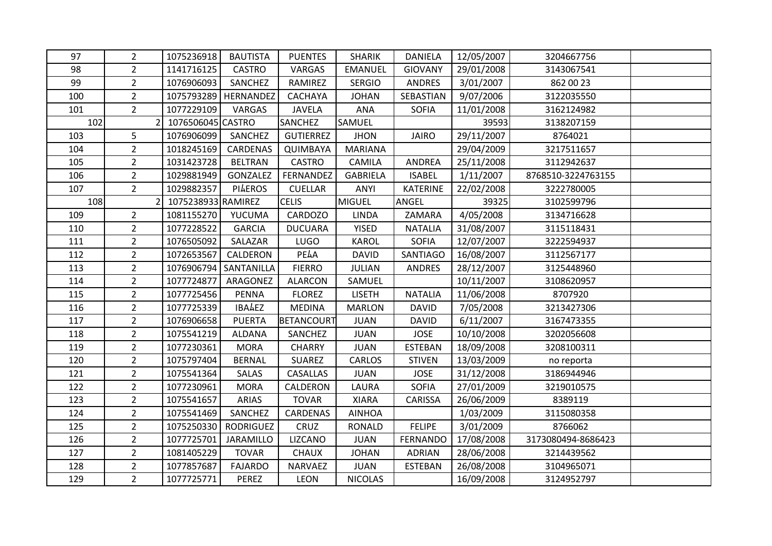| 97  | $\overline{2}$           | 1075236918         | <b>BAUTISTA</b>        | <b>PUENTES</b>    | <b>SHARIK</b>   | <b>DANIELA</b>  | 12/05/2007 | 3204667756         |  |
|-----|--------------------------|--------------------|------------------------|-------------------|-----------------|-----------------|------------|--------------------|--|
| 98  | $\overline{2}$           | 1141716125         | <b>CASTRO</b>          | VARGAS            | <b>EMANUEL</b>  | <b>GIOVANY</b>  | 29/01/2008 | 3143067541         |  |
| 99  | $\overline{2}$           | 1076906093         | SANCHEZ                | RAMIREZ           | <b>SERGIO</b>   | <b>ANDRES</b>   | 3/01/2007  | 862 00 23          |  |
| 100 | $\overline{2}$           |                    | 1075793289   HERNANDEZ | <b>CACHAYA</b>    | <b>JOHAN</b>    | SEBASTIAN       | 9/07/2006  | 3122035550         |  |
| 101 | 2 <sup>1</sup>           | 1077229109         | VARGAS                 | <b>JAVELA</b>     | <b>ANA</b>      | <b>SOFIA</b>    | 11/01/2008 | 3162124982         |  |
| 102 | $\overline{\phantom{a}}$ | 1076506045 CASTRO  |                        | <b>SANCHEZ</b>    | SAMUEL          |                 | 39593      | 3138207159         |  |
| 103 | 5                        | 1076906099         | SANCHEZ                | <b>GUTIERREZ</b>  | <b>JHON</b>     | <b>JAIRO</b>    | 29/11/2007 | 8764021            |  |
| 104 | $\overline{2}$           | 1018245169         | CARDENAS               | QUIMBAYA          | <b>MARIANA</b>  |                 | 29/04/2009 | 3217511657         |  |
| 105 | $\overline{2}$           | 1031423728         | <b>BELTRAN</b>         | <b>CASTRO</b>     | <b>CAMILA</b>   | <b>ANDREA</b>   | 25/11/2008 | 3112942637         |  |
| 106 | $\overline{2}$           | 1029881949         | GONZALEZ               | FERNANDEZ         | <b>GABRIELA</b> | <b>ISABEL</b>   | 1/11/2007  | 8768510-3224763155 |  |
| 107 | $\overline{2}$           | 1029882357         | <b>PILEROS</b>         | <b>CUELLAR</b>    | ANYI            | <b>KATERINE</b> | 22/02/2008 | 3222780005         |  |
| 108 | $\overline{2}$           | 1075238933 RAMIREZ |                        | <b>CELIS</b>      | <b>MIGUEL</b>   | ANGEL           | 39325      | 3102599796         |  |
| 109 | $2^{\circ}$              | 1081155270         | YUCUMA                 | CARDOZO           | <b>LINDA</b>    | ZAMARA          | 4/05/2008  | 3134716628         |  |
| 110 | $\overline{2}$           | 1077228522         | <b>GARCIA</b>          | <b>DUCUARA</b>    | <b>YISED</b>    | <b>NATALIA</b>  | 31/08/2007 | 3115118431         |  |
| 111 | $\overline{2}$           | 1076505092         | SALAZAR                | LUGO              | <b>KAROL</b>    | <b>SOFIA</b>    | 12/07/2007 | 3222594937         |  |
| 112 | $\overline{2}$           | 1072653567         | CALDERON               | PEAA              | <b>DAVID</b>    | SANTIAGO        | 16/08/2007 | 3112567177         |  |
| 113 | $\overline{2}$           | 1076906794         | SANTANILLA             | <b>FIERRO</b>     | <b>JULIAN</b>   | <b>ANDRES</b>   | 28/12/2007 | 3125448960         |  |
| 114 | $\overline{2}$           | 1077724877         | ARAGONEZ               | <b>ALARCON</b>    | SAMUEL          |                 | 10/11/2007 | 3108620957         |  |
| 115 | $\overline{2}$           | 1077725456         | <b>PENNA</b>           | <b>FLOREZ</b>     | <b>LISETH</b>   | <b>NATALIA</b>  | 11/06/2008 | 8707920            |  |
| 116 | $\overline{2}$           | 1077725339         | <b>IBALEZ</b>          | <b>MEDINA</b>     | <b>MARLON</b>   | <b>DAVID</b>    | 7/05/2008  | 3213427306         |  |
| 117 | $\overline{2}$           | 1076906658         | <b>PUERTA</b>          | <b>BETANCOURT</b> | <b>JUAN</b>     | <b>DAVID</b>    | 6/11/2007  | 3167473355         |  |
| 118 | $\overline{2}$           | 1075541219         | <b>ALDANA</b>          | SANCHEZ           | <b>JUAN</b>     | <b>JOSE</b>     | 10/10/2008 | 3202056608         |  |
| 119 | $\overline{2}$           | 1077230361         | <b>MORA</b>            | <b>CHARRY</b>     | <b>JUAN</b>     | <b>ESTEBAN</b>  | 18/09/2008 | 3208100311         |  |
| 120 | $\overline{2}$           | 1075797404         | <b>BERNAL</b>          | <b>SUAREZ</b>     | CARLOS          | <b>STIVEN</b>   | 13/03/2009 | no reporta         |  |
| 121 | $\overline{2}$           | 1075541364         | SALAS                  | CASALLAS          | <b>JUAN</b>     | <b>JOSE</b>     | 31/12/2008 | 3186944946         |  |
| 122 | $\overline{2}$           | 1077230961         | <b>MORA</b>            | CALDERON          | LAURA           | <b>SOFIA</b>    | 27/01/2009 | 3219010575         |  |
| 123 | $\overline{2}$           | 1075541657         | <b>ARIAS</b>           | <b>TOVAR</b>      | <b>XIARA</b>    | <b>CARISSA</b>  | 26/06/2009 | 8389119            |  |
| 124 | $\overline{2}$           | 1075541469         | SANCHEZ                | CARDENAS          | <b>AINHOA</b>   |                 | 1/03/2009  | 3115080358         |  |
| 125 | $\overline{2}$           | 1075250330         | RODRIGUEZ              | CRUZ              | <b>RONALD</b>   | <b>FELIPE</b>   | 3/01/2009  | 8766062            |  |
| 126 | $\overline{2}$           | 1077725701         | <b>JARAMILLO</b>       | LIZCANO           | <b>JUAN</b>     | <b>FERNANDO</b> | 17/08/2008 | 3173080494-8686423 |  |
| 127 | $\overline{2}$           | 1081405229         | <b>TOVAR</b>           | <b>CHAUX</b>      | <b>JOHAN</b>    | <b>ADRIAN</b>   | 28/06/2008 | 3214439562         |  |
| 128 | $\overline{2}$           | 1077857687         | <b>FAJARDO</b>         | NARVAEZ           | <b>JUAN</b>     | <b>ESTEBAN</b>  | 26/08/2008 | 3104965071         |  |
| 129 | $\overline{2}$           | 1077725771         | PEREZ                  | <b>LEON</b>       | <b>NICOLAS</b>  |                 | 16/09/2008 | 3124952797         |  |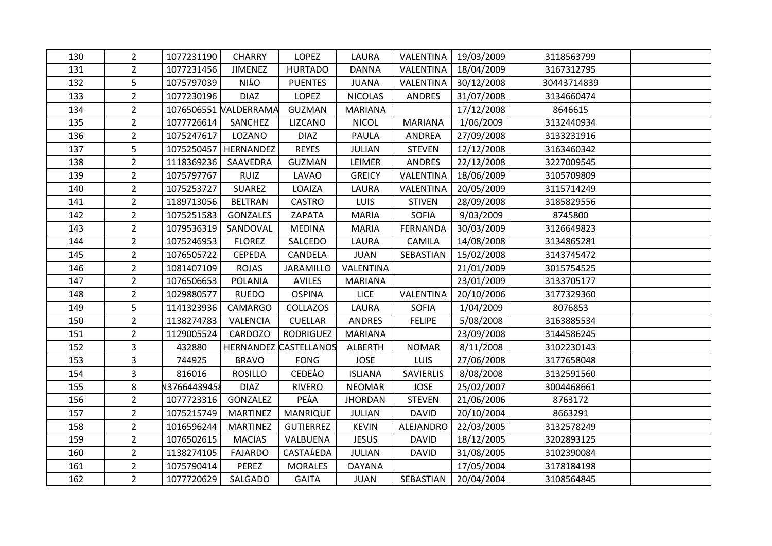| 130 | $\overline{2}$ | 1077231190  | <b>CHARRY</b>          | <b>LOPEZ</b>                 | LAURA          | VALENTINA        | 19/03/2009 | 3118563799  |  |
|-----|----------------|-------------|------------------------|------------------------------|----------------|------------------|------------|-------------|--|
| 131 | $\overline{2}$ | 1077231456  | <b>JIMENEZ</b>         | <b>HURTADO</b>               | <b>DANNA</b>   | VALENTINA        | 18/04/2009 | 3167312795  |  |
| 132 | 5              | 1075797039  | <b>NILO</b>            | <b>PUENTES</b>               | <b>JUANA</b>   | VALENTINA        | 30/12/2008 | 30443714839 |  |
| 133 | $\overline{2}$ | 1077230196  | <b>DIAZ</b>            | LOPEZ                        | <b>NICOLAS</b> | <b>ANDRES</b>    | 31/07/2008 | 3134660474  |  |
| 134 | $\overline{2}$ |             | 1076506551 NALDERRAMA  | <b>GUZMAN</b>                | <b>MARIANA</b> |                  | 17/12/2008 | 8646615     |  |
| 135 | $\overline{2}$ | 1077726614  | SANCHEZ                | LIZCANO                      | <b>NICOL</b>   | <b>MARIANA</b>   | 1/06/2009  | 3132440934  |  |
| 136 | $\overline{2}$ | 1075247617  | LOZANO                 | <b>DIAZ</b>                  | PAULA          | ANDREA           | 27/09/2008 | 3133231916  |  |
| 137 | 5              |             | 1075250457   HERNANDEZ | <b>REYES</b>                 | <b>JULIAN</b>  | <b>STEVEN</b>    | 12/12/2008 | 3163460342  |  |
| 138 | $\overline{2}$ | 1118369236  | SAAVEDRA               | <b>GUZMAN</b>                | LEIMER         | ANDRES           | 22/12/2008 | 3227009545  |  |
| 139 | $\overline{2}$ | 1075797767  | <b>RUIZ</b>            | LAVAO                        | <b>GREICY</b>  | VALENTINA        | 18/06/2009 | 3105709809  |  |
| 140 | $\overline{2}$ | 1075253727  | SUAREZ                 | LOAIZA                       | LAURA          | VALENTINA        | 20/05/2009 | 3115714249  |  |
| 141 | $\overline{2}$ | 1189713056  | <b>BELTRAN</b>         | <b>CASTRO</b>                | LUIS           | <b>STIVEN</b>    | 28/09/2008 | 3185829556  |  |
| 142 | $\overline{2}$ | 1075251583  | <b>GONZALES</b>        | ZAPATA                       | <b>MARIA</b>   | <b>SOFIA</b>     | 9/03/2009  | 8745800     |  |
| 143 | $\overline{2}$ | 1079536319  | SANDOVAL               | <b>MEDINA</b>                | <b>MARIA</b>   | FERNANDA         | 30/03/2009 | 3126649823  |  |
| 144 | $\overline{2}$ | 1075246953  | <b>FLOREZ</b>          | SALCEDO                      | LAURA          | CAMILA           | 14/08/2008 | 3134865281  |  |
| 145 | $\overline{2}$ | 1076505722  | <b>CEPEDA</b>          | CANDELA                      | <b>JUAN</b>    | SEBASTIAN        | 15/02/2008 | 3143745472  |  |
| 146 | $\overline{2}$ | 1081407109  | <b>ROJAS</b>           | JARAMILLO                    | VALENTINA      |                  | 21/01/2009 | 3015754525  |  |
| 147 | $\overline{2}$ | 1076506653  | <b>POLANIA</b>         | <b>AVILES</b>                | <b>MARIANA</b> |                  | 23/01/2009 | 3133705177  |  |
| 148 | $\overline{2}$ | 1029880577  | <b>RUEDO</b>           | <b>OSPINA</b>                | <b>LICE</b>    | VALENTINA        | 20/10/2006 | 3177329360  |  |
| 149 | 5              | 1141323936  | CAMARGO                | COLLAZOS                     | LAURA          | <b>SOFIA</b>     | 1/04/2009  | 8076853     |  |
| 150 | $\overline{2}$ | 1138274783  | VALENCIA               | <b>CUELLAR</b>               | <b>ANDRES</b>  | <b>FELIPE</b>    | 5/08/2008  | 3163885534  |  |
| 151 | $\overline{2}$ | 1129005524  | CARDOZO                | <b>RODRIGUEZ</b>             | <b>MARIANA</b> |                  | 23/09/2008 | 3144586245  |  |
| 152 | 3              | 432880      |                        | <b>HERNANDEZ CASTELLANOS</b> | ALBERTH        | <b>NOMAR</b>     | 8/11/2008  | 3102230143  |  |
| 153 | 3              | 744925      | <b>BRAVO</b>           | <b>FONG</b>                  | <b>JOSE</b>    | <b>LUIS</b>      | 27/06/2008 | 3177658048  |  |
| 154 | 3              | 816016      | <b>ROSILLO</b>         | <b>CEDE40</b>                | <b>ISLIANA</b> | <b>SAVIERLIS</b> | 8/08/2008  | 3132591560  |  |
| 155 | 8              | 13766443945 | <b>DIAZ</b>            | <b>RIVERO</b>                | <b>NEOMAR</b>  | <b>JOSE</b>      | 25/02/2007 | 3004468661  |  |
| 156 | $\overline{2}$ | 1077723316  | GONZALEZ               | PEAA                         | <b>JHORDAN</b> | <b>STEVEN</b>    | 21/06/2006 | 8763172     |  |
| 157 | $\overline{2}$ | 1075215749  | <b>MARTINEZ</b>        | <b>MANRIQUE</b>              | <b>JULIAN</b>  | <b>DAVID</b>     | 20/10/2004 | 8663291     |  |
| 158 | $\overline{2}$ | 1016596244  | <b>MARTINEZ</b>        | <b>GUTIERREZ</b>             | <b>KEVIN</b>   | ALEJANDRO        | 22/03/2005 | 3132578249  |  |
| 159 | $\overline{2}$ | 1076502615  | <b>MACIAS</b>          | VALBUENA                     | <b>JESUS</b>   | <b>DAVID</b>     | 18/12/2005 | 3202893125  |  |
| 160 | $\overline{2}$ | 1138274105  | <b>FAJARDO</b>         | <b>CASTALEDA</b>             | <b>JULIAN</b>  | <b>DAVID</b>     | 31/08/2005 | 3102390084  |  |
| 161 | $\overline{2}$ | 1075790414  | PEREZ                  | <b>MORALES</b>               | <b>DAYANA</b>  |                  | 17/05/2004 | 3178184198  |  |
| 162 | $\overline{2}$ | 1077720629  | SALGADO                | <b>GAITA</b>                 | <b>JUAN</b>    | SEBASTIAN        | 20/04/2004 | 3108564845  |  |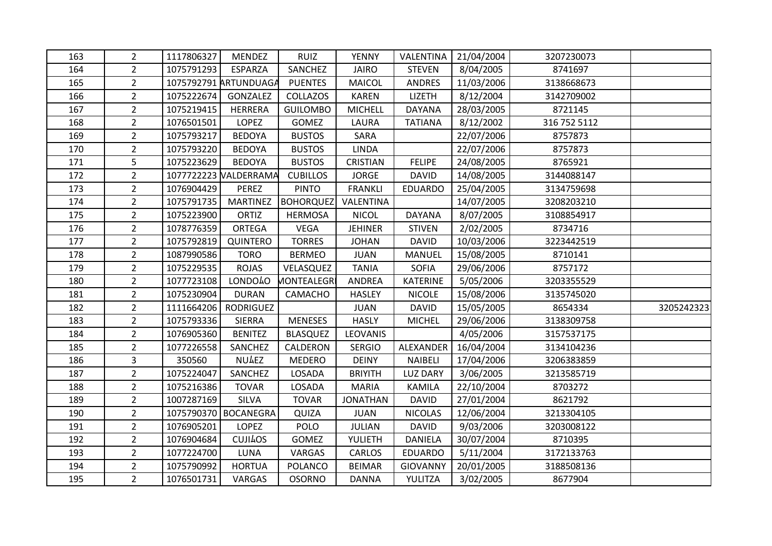| 163 | $\overline{2}$ | 1117806327 | <b>MENDEZ</b>         | <b>RUIZ</b>        | <b>YENNY</b>    | VALENTINA       | 21/04/2004 | 3207230073   |            |
|-----|----------------|------------|-----------------------|--------------------|-----------------|-----------------|------------|--------------|------------|
| 164 | $\overline{2}$ | 1075791293 | ESPARZA               | SANCHEZ            | <b>JAIRO</b>    | <b>STEVEN</b>   | 8/04/2005  | 8741697      |            |
| 165 | $\overline{2}$ |            | 1075792791 ARTUNDUAGA | <b>PUENTES</b>     | <b>MAICOL</b>   | ANDRES          | 11/03/2006 | 3138668673   |            |
| 166 | $\overline{2}$ | 1075222674 | GONZALEZ              | COLLAZOS           | <b>KAREN</b>    | LIZETH          | 8/12/2004  | 3142709002   |            |
| 167 | $\overline{2}$ | 1075219415 | <b>HERRERA</b>        | <b>GUILOMBO</b>    | <b>MICHELL</b>  | DAYANA          | 28/03/2005 | 8721145      |            |
| 168 | $\overline{2}$ | 1076501501 | <b>LOPEZ</b>          | <b>GOMEZ</b>       | LAURA           | <b>TATIANA</b>  | 8/12/2002  | 316 752 5112 |            |
| 169 | $\overline{2}$ | 1075793217 | <b>BEDOYA</b>         | <b>BUSTOS</b>      | SARA            |                 | 22/07/2006 | 8757873      |            |
| 170 | $\overline{a}$ | 1075793220 | <b>BEDOYA</b>         | <b>BUSTOS</b>      | <b>LINDA</b>    |                 | 22/07/2006 | 8757873      |            |
| 171 | 5              | 1075223629 | <b>BEDOYA</b>         | <b>BUSTOS</b>      | CRISTIAN        | <b>FELIPE</b>   | 24/08/2005 | 8765921      |            |
| 172 | $\overline{2}$ |            | 1077722223 NALDERRAMA | <b>CUBILLOS</b>    | <b>JORGE</b>    | <b>DAVID</b>    | 14/08/2005 | 3144088147   |            |
| 173 | $\overline{2}$ | 1076904429 | PEREZ                 | <b>PINTO</b>       | <b>FRANKLI</b>  | <b>EDUARDO</b>  | 25/04/2005 | 3134759698   |            |
| 174 | $\overline{2}$ | 1075791735 | <b>MARTINEZ</b>       | <b>BOHORQUEZ</b>   | VALENTINA       |                 | 14/07/2005 | 3208203210   |            |
| 175 | $\overline{2}$ | 1075223900 | ORTIZ                 | <b>HERMOSA</b>     | <b>NICOL</b>    | <b>DAYANA</b>   | 8/07/2005  | 3108854917   |            |
| 176 | $\overline{2}$ | 1078776359 | ORTEGA                | <b>VEGA</b>        | <b>JEHINER</b>  | <b>STIVEN</b>   | 2/02/2005  | 8734716      |            |
| 177 | $\overline{2}$ | 1075792819 | QUINTERO              | <b>TORRES</b>      | <b>JOHAN</b>    | <b>DAVID</b>    | 10/03/2006 | 3223442519   |            |
| 178 | $\overline{2}$ | 1087990586 | <b>TORO</b>           | <b>BERMEO</b>      | <b>JUAN</b>     | <b>MANUEL</b>   | 15/08/2005 | 8710141      |            |
| 179 | $\overline{2}$ | 1075229535 | <b>ROJAS</b>          | VELASQUEZ          | <b>TANIA</b>    | <b>SOFIA</b>    | 29/06/2006 | 8757172      |            |
| 180 | $\overline{2}$ | 1077723108 | <b>LONDO40</b>        | <b>MONTEALEGRI</b> | <b>ANDREA</b>   | <b>KATERINE</b> | 5/05/2006  | 3203355529   |            |
| 181 | $\overline{2}$ | 1075230904 | <b>DURAN</b>          | CAMACHO            | <b>HASLEY</b>   | <b>NICOLE</b>   | 15/08/2006 | 3135745020   |            |
| 182 | $\overline{2}$ | 1111664206 | <b>RODRIGUEZ</b>      |                    | <b>JUAN</b>     | <b>DAVID</b>    | 15/05/2005 | 8654334      | 3205242323 |
| 183 | $\overline{2}$ | 1075793336 | <b>SIERRA</b>         | <b>MENESES</b>     | <b>HASLY</b>    | <b>MICHEL</b>   | 29/06/2006 | 3138309758   |            |
| 184 | $\overline{2}$ | 1076905360 | <b>BENITEZ</b>        | <b>BLASQUEZ</b>    | LEOVANIS        |                 | 4/05/2006  | 3157537175   |            |
| 185 | $\overline{2}$ | 1077226558 | SANCHEZ               | CALDERON           | <b>SERGIO</b>   | ALEXANDER       | 16/04/2004 | 3134104236   |            |
| 186 | 3              | 350560     | <b>NULEZ</b>          | <b>MEDERO</b>      | <b>DEINY</b>    | <b>NAIBELI</b>  | 17/04/2006 | 3206383859   |            |
| 187 | $\overline{2}$ | 1075224047 | SANCHEZ               | LOSADA             | <b>BRIYITH</b>  | <b>LUZ DARY</b> | 3/06/2005  | 3213585719   |            |
| 188 | $\overline{2}$ | 1075216386 | <b>TOVAR</b>          | LOSADA             | <b>MARIA</b>    | KAMILA          | 22/10/2004 | 8703272      |            |
| 189 | $\overline{2}$ | 1007287169 | SILVA                 | <b>TOVAR</b>       | <b>JONATHAN</b> | <b>DAVID</b>    | 27/01/2004 | 8621792      |            |
| 190 | $\overline{2}$ |            | 1075790370 BOCANEGRA  | QUIZA              | <b>JUAN</b>     | <b>NICOLAS</b>  | 12/06/2004 | 3213304105   |            |
| 191 | $\overline{2}$ | 1076905201 | <b>LOPEZ</b>          | <b>POLO</b>        | <b>JULIAN</b>   | <b>DAVID</b>    | 9/03/2006  | 3203008122   |            |
| 192 | $\overline{2}$ | 1076904684 | <b>CUJILOS</b>        | <b>GOMEZ</b>       | YULIETH         | <b>DANIELA</b>  | 30/07/2004 | 8710395      |            |
| 193 | $\overline{2}$ | 1077224700 | LUNA                  | VARGAS             | CARLOS          | <b>EDUARDO</b>  | 5/11/2004  | 3172133763   |            |
| 194 | $\overline{2}$ | 1075790992 | <b>HORTUA</b>         | <b>POLANCO</b>     | <b>BEIMAR</b>   | <b>GIOVANNY</b> | 20/01/2005 | 3188508136   |            |
| 195 | $\overline{2}$ | 1076501731 | VARGAS                | <b>OSORNO</b>      | <b>DANNA</b>    | YULITZA         | 3/02/2005  | 8677904      |            |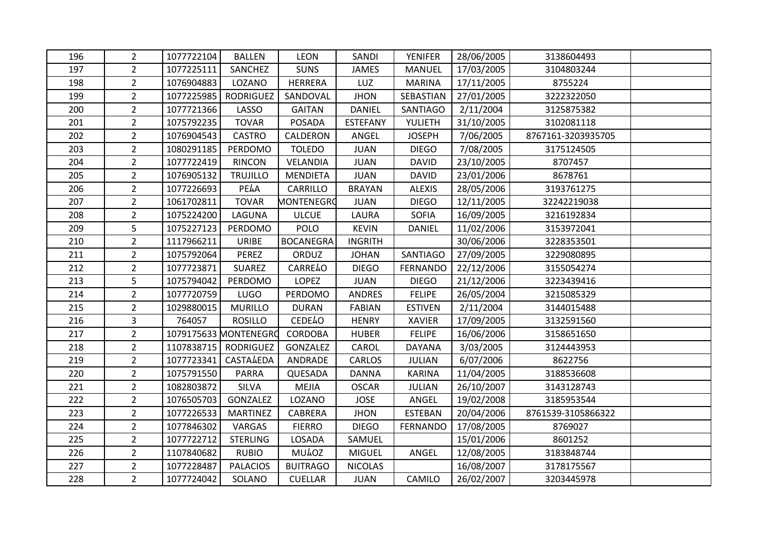| 196 | $\overline{2}$ | 1077722104 | <b>BALLEN</b>         | <b>LEON</b>       | SANDI           | <b>YENIFER</b>  | 28/06/2005 | 3138604493         |  |
|-----|----------------|------------|-----------------------|-------------------|-----------------|-----------------|------------|--------------------|--|
| 197 | $\overline{2}$ | 1077225111 | SANCHEZ               | <b>SUNS</b>       | <b>JAMES</b>    | <b>MANUEL</b>   | 17/03/2005 | 3104803244         |  |
| 198 | $2^{\circ}$    | 1076904883 | LOZANO                | <b>HERRERA</b>    | LUZ             | <b>MARINA</b>   | 17/11/2005 | 8755224            |  |
| 199 | $2^{\circ}$    | 1077225985 | <b>RODRIGUEZ</b>      | SANDOVAL          | <b>JHON</b>     | SEBASTIAN       | 27/01/2005 | 3222322050         |  |
| 200 | $\overline{2}$ | 1077721366 | LASSO                 | <b>GAITAN</b>     | <b>DANIEL</b>   | SANTIAGO        | 2/11/2004  | 3125875382         |  |
| 201 | $\overline{2}$ | 1075792235 | <b>TOVAR</b>          | <b>POSADA</b>     | <b>ESTEFANY</b> | YULIETH         | 31/10/2005 | 3102081118         |  |
| 202 | $2^{\circ}$    | 1076904543 | <b>CASTRO</b>         | CALDERON          | ANGEL           | <b>JOSEPH</b>   | 7/06/2005  | 8767161-3203935705 |  |
| 203 | $2^{\circ}$    | 1080291185 | PERDOMO               | <b>TOLEDO</b>     | <b>JUAN</b>     | <b>DIEGO</b>    | 7/08/2005  | 3175124505         |  |
| 204 | $\overline{2}$ | 1077722419 | <b>RINCON</b>         | VELANDIA          | <b>JUAN</b>     | <b>DAVID</b>    | 23/10/2005 | 8707457            |  |
| 205 | $\overline{2}$ | 1076905132 | <b>TRUJILLO</b>       | <b>MENDIETA</b>   | <b>JUAN</b>     | <b>DAVID</b>    | 23/01/2006 | 8678761            |  |
| 206 | $\overline{2}$ | 1077226693 | PEAA                  | CARRILLO          | <b>BRAYAN</b>   | <b>ALEXIS</b>   | 28/05/2006 | 3193761275         |  |
| 207 | $\overline{2}$ | 1061702811 | <b>TOVAR</b>          | <b>MONTENEGRO</b> | <b>JUAN</b>     | <b>DIEGO</b>    | 12/11/2005 | 32242219038        |  |
| 208 | $\overline{2}$ | 1075224200 | LAGUNA                | <b>ULCUE</b>      | LAURA           | <b>SOFIA</b>    | 16/09/2005 | 3216192834         |  |
| 209 | 5              | 1075227123 | PERDOMO               | <b>POLO</b>       | <b>KEVIN</b>    | <b>DANIEL</b>   | 11/02/2006 | 3153972041         |  |
| 210 | $\overline{2}$ | 1117966211 | <b>URIBE</b>          | <b>BOCANEGRA</b>  | <b>INGRITH</b>  |                 | 30/06/2006 | 3228353501         |  |
| 211 | $2^{\circ}$    | 1075792064 | <b>PEREZ</b>          | ORDUZ             | <b>JOHAN</b>    | <b>SANTIAGO</b> | 27/09/2005 | 3229080895         |  |
| 212 | $2^{\circ}$    | 1077723871 | <b>SUAREZ</b>         | <b>CARRE40</b>    | <b>DIEGO</b>    | <b>FERNANDO</b> | 22/12/2006 | 3155054274         |  |
| 213 | 5              | 1075794042 | PERDOMO               | <b>LOPEZ</b>      | <b>JUAN</b>     | <b>DIEGO</b>    | 21/12/2006 | 3223439416         |  |
| 214 | $\overline{2}$ | 1077720759 | <b>LUGO</b>           | PERDOMO           | <b>ANDRES</b>   | <b>FELIPE</b>   | 26/05/2004 | 3215085329         |  |
| 215 | $\overline{2}$ | 1029880015 | <b>MURILLO</b>        | <b>DURAN</b>      | <b>FABIAN</b>   | <b>ESTIVEN</b>  | 2/11/2004  | 3144015488         |  |
| 216 | $\mathsf{3}$   | 764057     | <b>ROSILLO</b>        | <b>CEDE4O</b>     | <b>HENRY</b>    | <b>XAVIER</b>   | 17/09/2005 | 3132591560         |  |
| 217 | $\overline{2}$ |            | 1079175633 MONTENEGRO | CORDOBA           | <b>HUBER</b>    | <b>FELIPE</b>   | 16/06/2006 | 3158651650         |  |
| 218 | $\overline{2}$ | 1107838715 | RODRIGUEZ             | GONZALEZ          | CAROL           | <b>DAYANA</b>   | 3/03/2005  | 3124443953         |  |
| 219 | $\overline{2}$ | 1077723341 | <b>CASTA4EDA</b>      | ANDRADE           | CARLOS          | <b>JULIAN</b>   | 6/07/2006  | 8622756            |  |
| 220 | $\overline{2}$ | 1075791550 | <b>PARRA</b>          | QUESADA           | <b>DANNA</b>    | <b>KARINA</b>   | 11/04/2005 | 3188536608         |  |
| 221 | $2^{\circ}$    | 1082803872 | <b>SILVA</b>          | <b>MEJIA</b>      | <b>OSCAR</b>    | <b>JULIAN</b>   | 26/10/2007 | 3143128743         |  |
| 222 | $\overline{2}$ | 1076505703 | GONZALEZ              | LOZANO            | <b>JOSE</b>     | ANGEL           | 19/02/2008 | 3185953544         |  |
| 223 | $\overline{2}$ | 1077226533 | <b>MARTINEZ</b>       | <b>CABRERA</b>    | <b>JHON</b>     | <b>ESTEBAN</b>  | 20/04/2006 | 8761539-3105866322 |  |
| 224 | $2^{\circ}$    | 1077846302 | VARGAS                | <b>FIERRO</b>     | <b>DIEGO</b>    | <b>FERNANDO</b> | 17/08/2005 | 8769027            |  |
| 225 | $2^{\circ}$    | 1077722712 | <b>STERLING</b>       | LOSADA            | SAMUEL          |                 | 15/01/2006 | 8601252            |  |
| 226 | $\overline{2}$ | 1107840682 | <b>RUBIO</b>          | <b>MU40Z</b>      | <b>MIGUEL</b>   | ANGEL           | 12/08/2005 | 3183848744         |  |
| 227 | $\overline{2}$ | 1077228487 | <b>PALACIOS</b>       | <b>BUITRAGO</b>   | <b>NICOLAS</b>  |                 | 16/08/2007 | 3178175567         |  |
| 228 | $\overline{2}$ | 1077724042 | SOLANO                | <b>CUELLAR</b>    | <b>JUAN</b>     | CAMILO          | 26/02/2007 | 3203445978         |  |